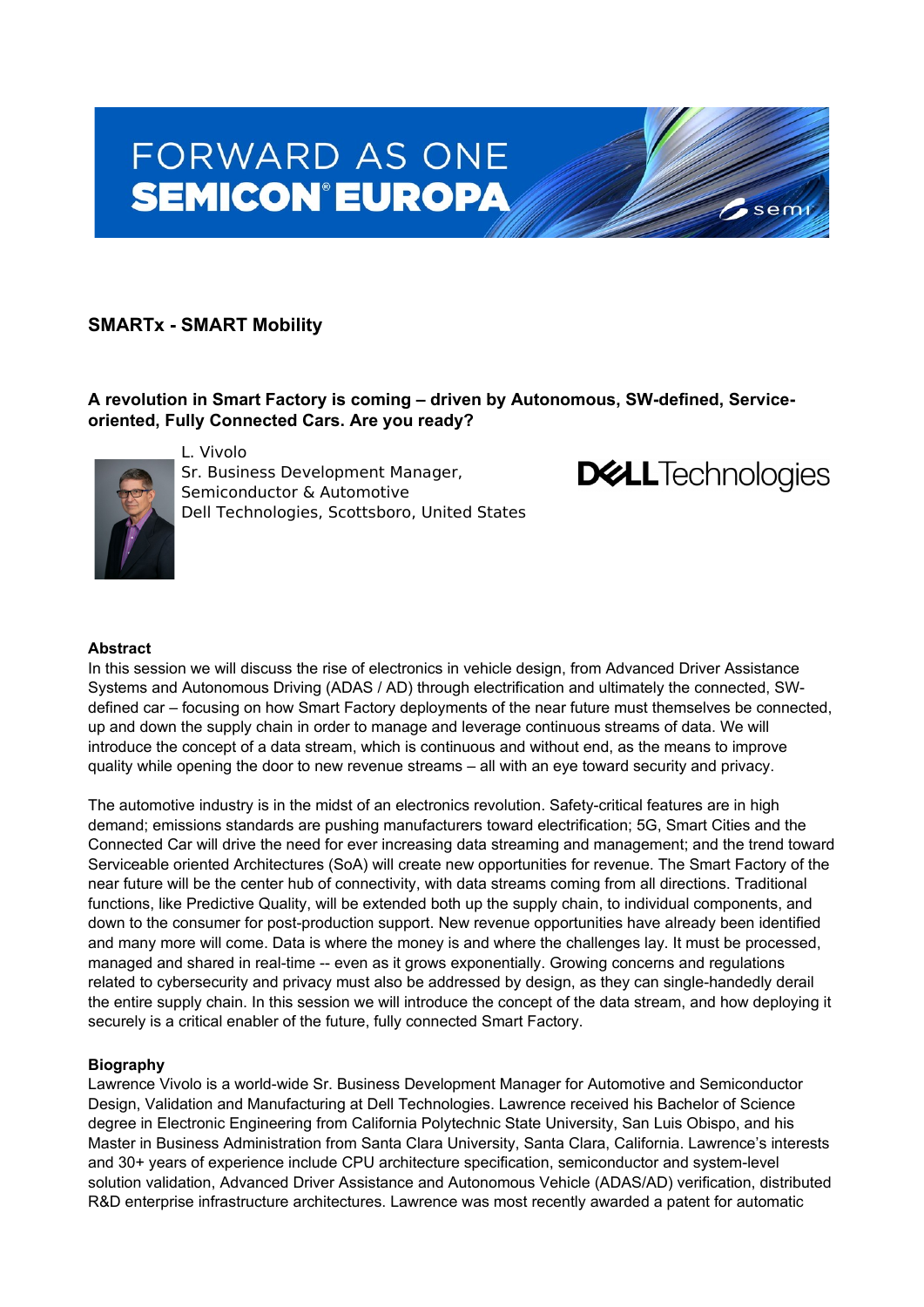# FORWARD AS ONE **SEMICON®EUROPA**

# **SMARTx - SMART Mobility**

**A revolution in Smart Factory is coming – driven by Autonomous, SW-defined, Serviceoriented, Fully Connected Cars. Are you ready?**



L. Vivolo Sr. Business Development Manager, Semiconductor & Automotive Dell Technologies, Scottsboro, United States



sem

## **Abstract**

In this session we will discuss the rise of electronics in vehicle design, from Advanced Driver Assistance Systems and Autonomous Driving (ADAS / AD) through electrification and ultimately the connected, SWdefined car – focusing on how Smart Factory deployments of the near future must themselves be connected, up and down the supply chain in order to manage and leverage continuous streams of data. We will introduce the concept of a data stream, which is continuous and without end, as the means to improve quality while opening the door to new revenue streams – all with an eye toward security and privacy.

The automotive industry is in the midst of an electronics revolution. Safety-critical features are in high demand; emissions standards are pushing manufacturers toward electrification; 5G, Smart Cities and the Connected Car will drive the need for ever increasing data streaming and management; and the trend toward Serviceable oriented Architectures (SoA) will create new opportunities for revenue. The Smart Factory of the near future will be the center hub of connectivity, with data streams coming from all directions. Traditional functions, like Predictive Quality, will be extended both up the supply chain, to individual components, and down to the consumer for post-production support. New revenue opportunities have already been identified and many more will come. Data is where the money is and where the challenges lay. It must be processed, managed and shared in real-time -- even as it grows exponentially. Growing concerns and regulations related to cybersecurity and privacy must also be addressed by design, as they can single-handedly derail the entire supply chain. In this session we will introduce the concept of the data stream, and how deploying it securely is a critical enabler of the future, fully connected Smart Factory.

## **Biography**

Lawrence Vivolo is a world-wide Sr. Business Development Manager for Automotive and Semiconductor Design, Validation and Manufacturing at Dell Technologies. Lawrence received his Bachelor of Science degree in Electronic Engineering from California Polytechnic State University, San Luis Obispo, and his Master in Business Administration from Santa Clara University, Santa Clara, California. Lawrence's interests and 30+ years of experience include CPU architecture specification, semiconductor and system-level solution validation, Advanced Driver Assistance and Autonomous Vehicle (ADAS/AD) verification, distributed R&D enterprise infrastructure architectures. Lawrence was most recently awarded a patent for automatic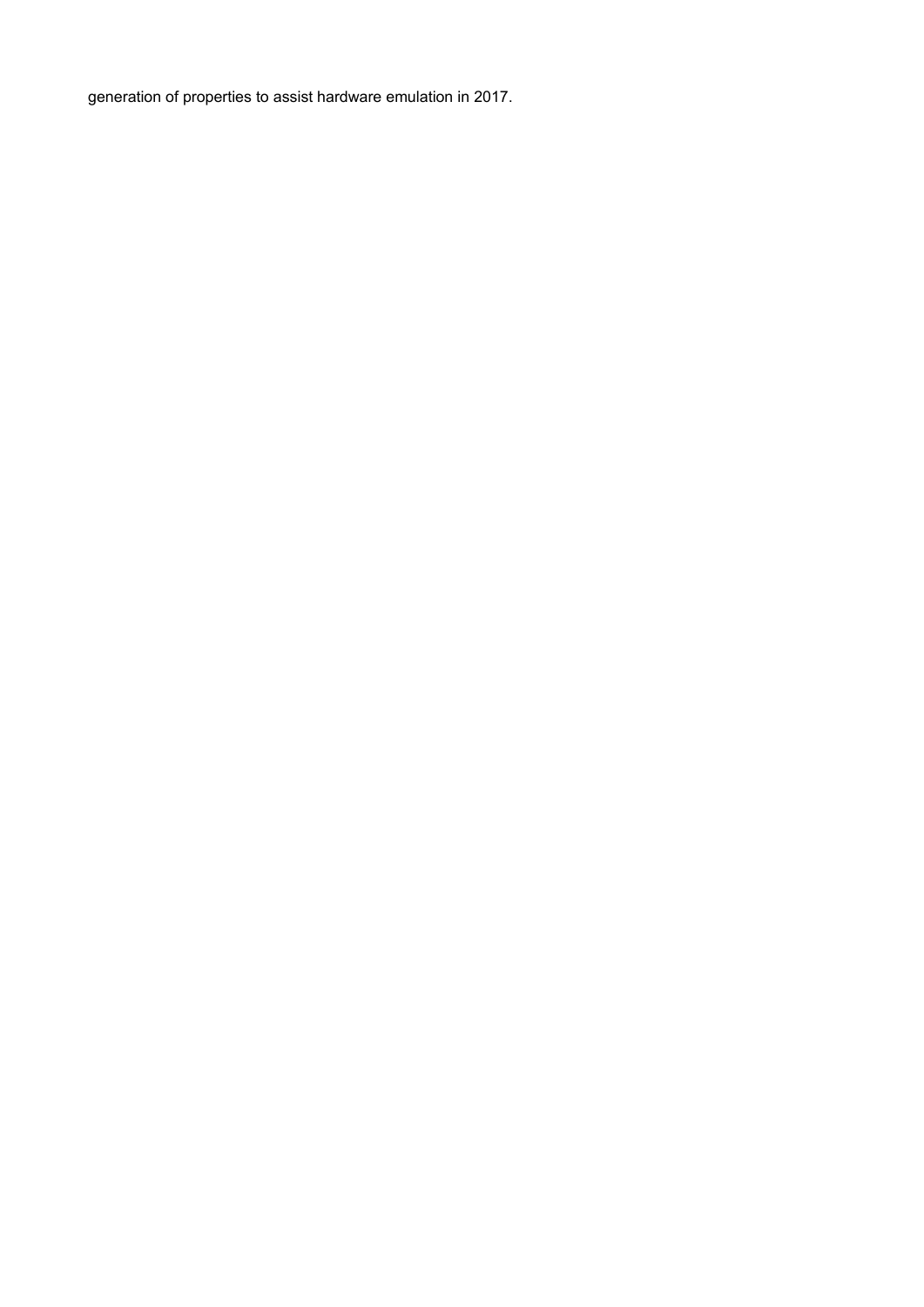generation of properties to assist hardware emulation in 2017.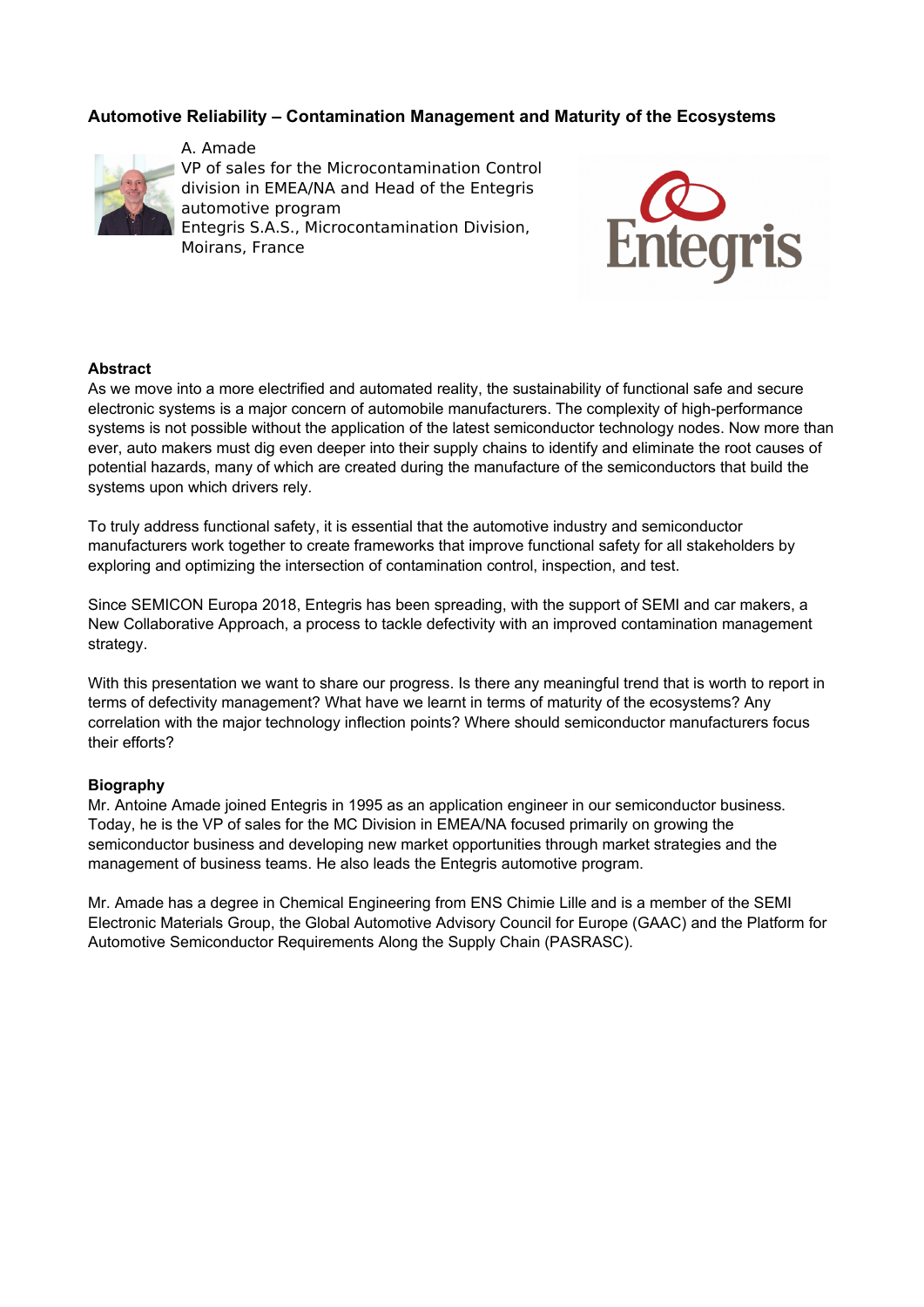# **Automotive Reliability – Contamination Management and Maturity of the Ecosystems**



A. Amade VP of sales for the Microcontamination Control division in EMEA/NA and Head of the Entegris automotive program Entegris S.A.S., Microcontamination Division, Moirans, France



## **Abstract**

As we move into a more electrified and automated reality, the sustainability of functional safe and secure electronic systems is a major concern of automobile manufacturers. The complexity of high-performance systems is not possible without the application of the latest semiconductor technology nodes. Now more than ever, auto makers must dig even deeper into their supply chains to identify and eliminate the root causes of potential hazards, many of which are created during the manufacture of the semiconductors that build the systems upon which drivers rely.

To truly address functional safety, it is essential that the automotive industry and semiconductor manufacturers work together to create frameworks that improve functional safety for all stakeholders by exploring and optimizing the intersection of contamination control, inspection, and test.

Since SEMICON Europa 2018, Entegris has been spreading, with the support of SEMI and car makers, a New Collaborative Approach, a process to tackle defectivity with an improved contamination management strategy.

With this presentation we want to share our progress. Is there any meaningful trend that is worth to report in terms of defectivity management? What have we learnt in terms of maturity of the ecosystems? Any correlation with the major technology inflection points? Where should semiconductor manufacturers focus their efforts?

#### **Biography**

Mr. Antoine Amade joined Entegris in 1995 as an application engineer in our semiconductor business. Today, he is the VP of sales for the MC Division in EMEA/NA focused primarily on growing the semiconductor business and developing new market opportunities through market strategies and the management of business teams. He also leads the Entegris automotive program.

Mr. Amade has a degree in Chemical Engineering from ENS Chimie Lille and is a member of the SEMI Electronic Materials Group, the Global Automotive Advisory Council for Europe (GAAC) and the Platform for Automotive Semiconductor Requirements Along the Supply Chain (PASRASC).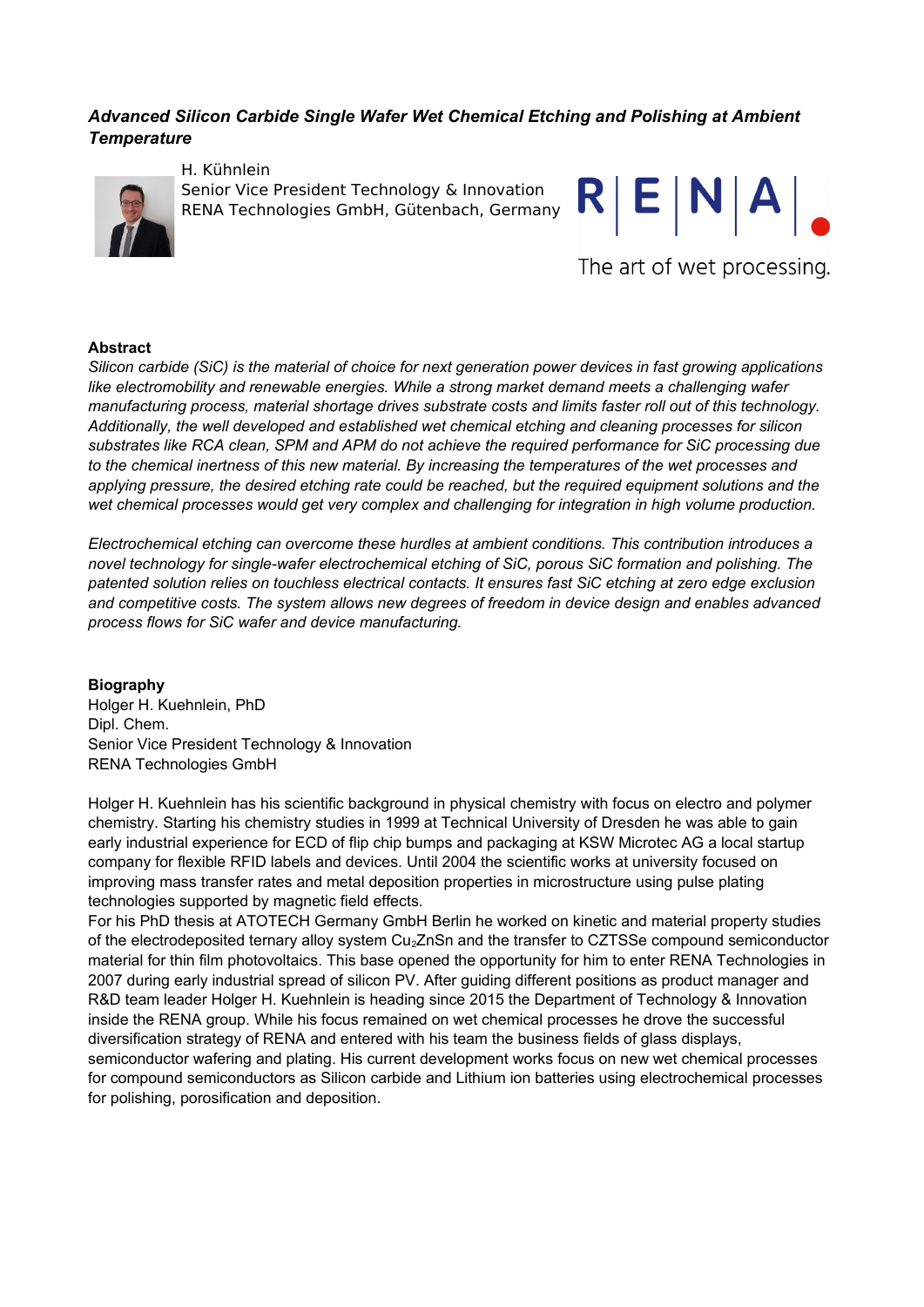# *Advanced Silicon Carbide Single Wafer Wet Chemical Etching and Polishing at Ambient Temperature*



H. Kühnlein Senior Vice President Technology & Innovation RENA Technologies GmbH, Gütenbach, Germany



The art of wet processing.

#### **Abstract**

*Silicon carbide (SiC) is the material of choice for next generation power devices in fast growing applications like electromobility and renewable energies. While a strong market demand meets a challenging wafer manufacturing process, material shortage drives substrate costs and limits faster roll out of this technology. Additionally, the well developed and established wet chemical etching and cleaning processes for silicon substrates like RCA clean, SPM and APM do not achieve the required performance for SiC processing due to the chemical inertness of this new material. By increasing the temperatures of the wet processes and applying pressure, the desired etching rate could be reached, but the required equipment solutions and the wet chemical processes would get very complex and challenging for integration in high volume production.*

*Electrochemical etching can overcome these hurdles at ambient conditions. This contribution introduces a novel technology for single-wafer electrochemical etching of SiC, porous SiC formation and polishing. The patented solution relies on touchless electrical contacts. It ensures fast SiC etching at zero edge exclusion and competitive costs. The system allows new degrees of freedom in device design and enables advanced process flows for SiC wafer and device manufacturing.* 

## **Biography**

Holger H. Kuehnlein, PhD Dipl. Chem. Senior Vice President Technology & Innovation RENA Technologies GmbH

Holger H. Kuehnlein has his scientific background in physical chemistry with focus on electro and polymer chemistry. Starting his chemistry studies in 1999 at Technical University of Dresden he was able to gain early industrial experience for ECD of flip chip bumps and packaging at KSW Microtec AG a local startup company for flexible RFID labels and devices. Until 2004 the scientific works at university focused on improving mass transfer rates and metal deposition properties in microstructure using pulse plating technologies supported by magnetic field effects.

For his PhD thesis at ATOTECH Germany GmbH Berlin he worked on kinetic and material property studies of the electrodeposited ternary alloy system Cu2ZnSn and the transfer to CZTSSe compound semiconductor material for thin film photovoltaics. This base opened the opportunity for him to enter RENA Technologies in 2007 during early industrial spread of silicon PV. After guiding different positions as product manager and R&D team leader Holger H. Kuehnlein is heading since 2015 the Department of Technology & Innovation inside the RENA group. While his focus remained on wet chemical processes he drove the successful diversification strategy of RENA and entered with his team the business fields of glass displays, semiconductor wafering and plating. His current development works focus on new wet chemical processes for compound semiconductors as Silicon carbide and Lithium ion batteries using electrochemical processes for polishing, porosification and deposition.